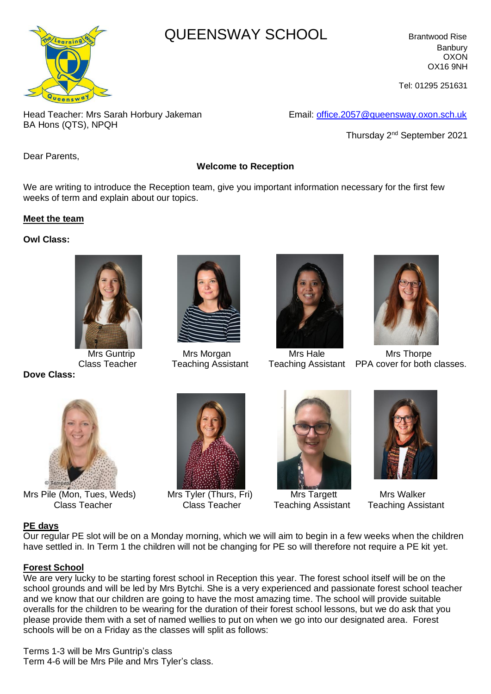

# **QUEENSWAY SCHOOL** Brantwood Rise

Banbury OXON OX16 9NH

Tel: 01295 251631

Head Teacher: Mrs Sarah Horbury Jakeman Email: [office.2057@queensway.oxon.sch.uk](mailto:office.2057@queensway.oxon.sch.uk) BA Hons (QTS), NPQH

Thursday 2<sup>nd</sup> September 2021

Dear Parents,

## **Welcome to Reception**

We are writing to introduce the Reception team, give you important information necessary for the first few weeks of term and explain about our topics.

#### **Meet the team**

**Owl Class:** 



**Dove Class:** 







 Mrs Guntrip Mrs Morgan Mrs Hale Mrs Thorpe Class Teacher Teaching Assistant Teaching Assistant PPA cover for both classes.



 Mrs Pile (Mon, Tues, Weds) Mrs Tyler (Thurs, Fri) Mrs Targett Mrs Walker Class Teacher Class Teacher Teaching Assistant Teaching Assistant







# **PE days**

Our regular PE slot will be on a Monday morning, which we will aim to begin in a few weeks when the children have settled in. In Term 1 the children will not be changing for PE so will therefore not require a PE kit yet.

# **Forest School**

We are very lucky to be starting forest school in Reception this year. The forest school itself will be on the school grounds and will be led by Mrs Bytchi. She is a very experienced and passionate forest school teacher and we know that our children are going to have the most amazing time. The school will provide suitable overalls for the children to be wearing for the duration of their forest school lessons, but we do ask that you please provide them with a set of named wellies to put on when we go into our designated area. Forest schools will be on a Friday as the classes will split as follows:

Terms 1-3 will be Mrs Guntrip's class Term 4-6 will be Mrs Pile and Mrs Tyler's class.